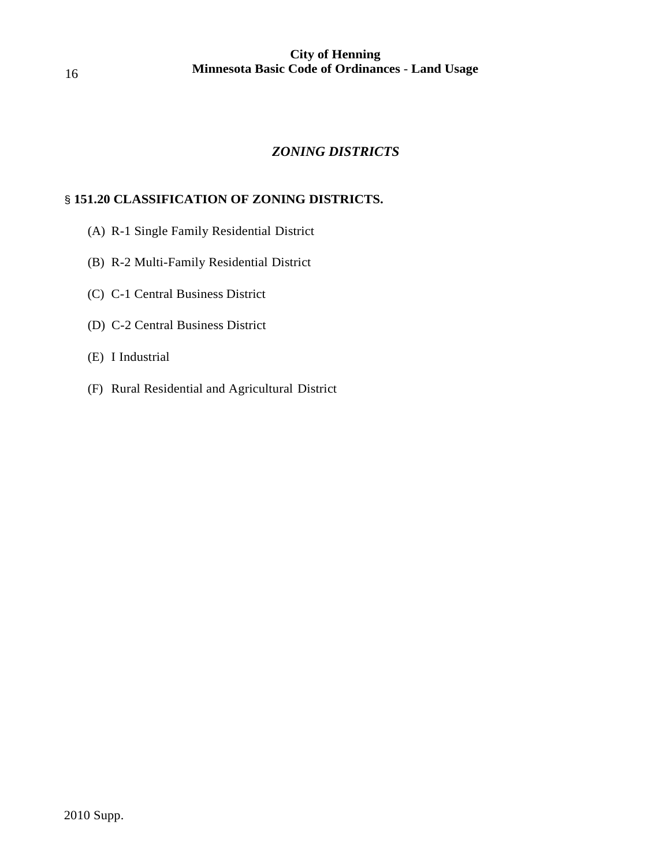# *ZONING DISTRICTS*

# § **151.20 CLASSIFICATION OF ZONING DISTRICTS.**

- (A) R-1 Single Family Residential District
- (B) R-2 Multi-Family Residential District
- (C) C-1 Central Business District
- (D) C-2 Central Business District
- (E) I Industrial
- (F) Rural Residential and Agricultural District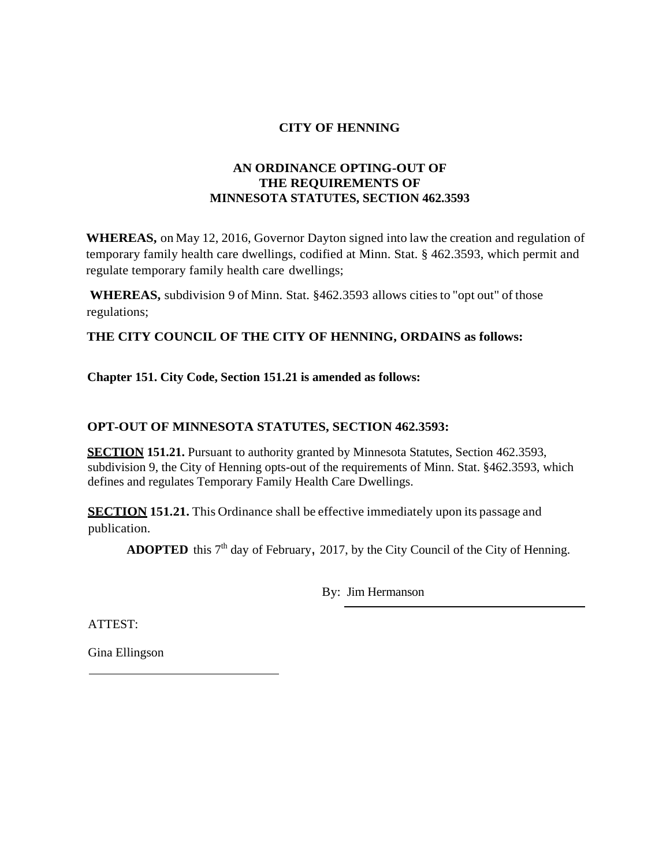#### **CITY OF HENNING**

# **AN ORDINANCE OPTING-OUT OF THE REQUIREMENTS OF MINNESOTA STATUTES, SECTION 462.3593**

**WHEREAS,** on May 12, 2016, Governor Dayton signed into law the creation and regulation of temporary family health care dwellings, codified at Minn. Stat. § 462.3593, which permit and regulate temporary family health care dwellings;

**WHEREAS,** subdivision 9 of Minn. Stat. §462.3593 allows citiesto "opt out" of those regulations;

# **THE CITY COUNCIL OF THE CITY OF HENNING, ORDAINS as follows:**

## **Chapter 151. City Code, Section 151.21 is amended as follows:**

## **OPT-OUT OF MINNESOTA STATUTES, SECTION 462.3593:**

**SECTION 151.21.** Pursuant to authority granted by Minnesota Statutes, Section 462.3593, subdivision 9, the City of Henning opts-out of the requirements of Minn. Stat. §462.3593, which defines and regulates Temporary Family Health Care Dwellings.

**SECTION 151.21.** This Ordinance shall be effective immediately upon its passage and publication.

**ADOPTED** this  $7<sup>th</sup>$  day of February, 2017, by the City Council of the City of Henning.

By: Jim Hermanson

ATTEST:

Gina Ellingson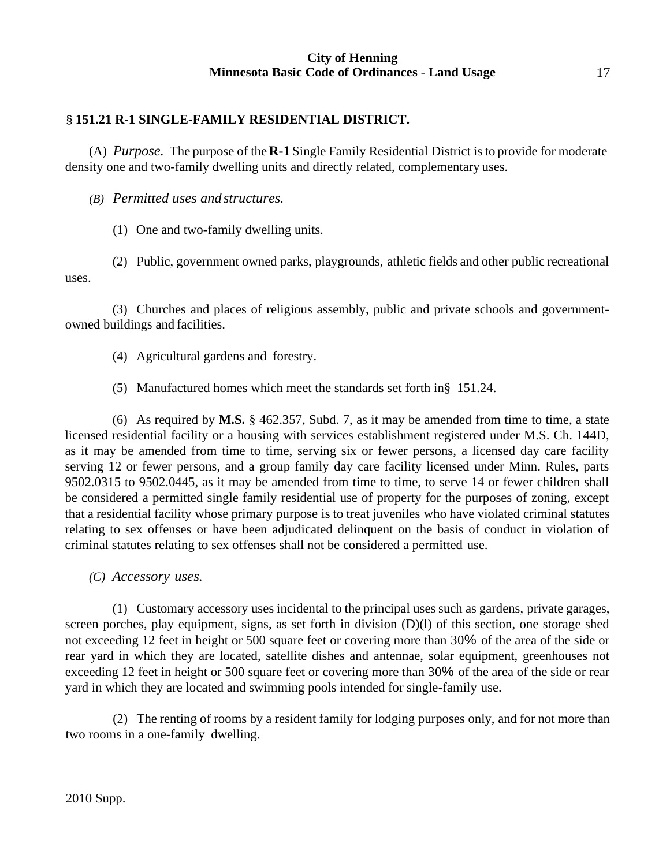# § **151.21 R-1 SINGLE-FAMILY RESIDENTIAL DISTRICT.**

(A) *Purpose.* The purpose of the**R-1** Single Family Residential District isto provide for moderate density one and two-family dwelling units and directly related, complementary uses.

*(B) Permitted uses andstructures.*

(1) One and two-family dwelling units.

(2) Public, government owned parks, playgrounds, athletic fields and other public recreational uses.

(3) Churches and places of religious assembly, public and private schools and governmentowned buildings and facilities.

- (4) Agricultural gardens and forestry.
- (5) Manufactured homes which meet the standards set forth in§ 151.24.

(6) As required by **M.S.** § 462.357, Subd. 7, as it may be amended from time to time, a state licensed residential facility or a housing with services establishment registered under M.S. Ch. 144D, as it may be amended from time to time, serving six or fewer persons, a licensed day care facility serving 12 or fewer persons, and a group family day care facility licensed under Minn. Rules, parts 9502.0315 to 9502.0445, as it may be amended from time to time, to serve 14 or fewer children shall be considered a permitted single family residential use of property for the purposes of zoning, except that a residential facility whose primary purpose is to treat juveniles who have violated criminal statutes relating to sex offenses or have been adjudicated delinquent on the basis of conduct in violation of criminal statutes relating to sex offenses shall not be considered a permitted use.

*(C) Accessory uses.*

(1) Customary accessory uses incidental to the principal uses such as gardens, private garages, screen porches, play equipment, signs, as set forth in division (D)(l) of this section, one storage shed not exceeding 12 feet in height or 500 square feet or covering more than 30% of the area of the side or rear yard in which they are located, satellite dishes and antennae, solar equipment, greenhouses not exceeding 12 feet in height or 500 square feet or covering more than 30% of the area of the side or rear yard in which they are located and swimming pools intended for single-family use.

(2) The renting of rooms by a resident family for lodging purposes only, and for not more than two rooms in a one-family dwelling.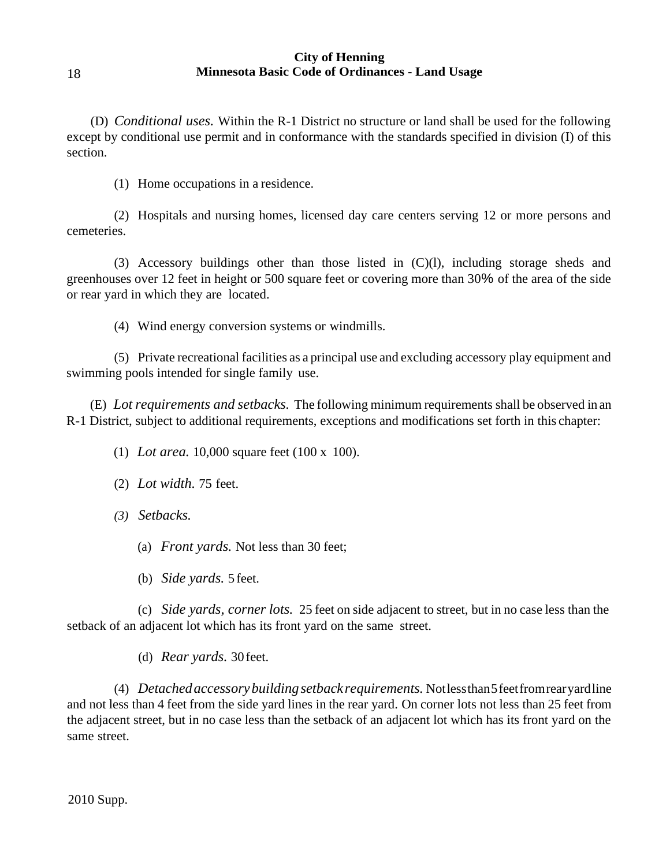(D) *Conditional uses.* Within the R-1 District no structure or land shall be used for the following except by conditional use permit and in conformance with the standards specified in division (I) of this section.

(1) Home occupations in a residence.

(2) Hospitals and nursing homes, licensed day care centers serving 12 or more persons and cemeteries.

(3) Accessory buildings other than those listed in (C)(l), including storage sheds and greenhouses over 12 feet in height or 500 square feet or covering more than 30% of the area of the side or rear yard in which they are located.

(4) Wind energy conversion systems or windmills.

(5) Private recreational facilities as a principal use and excluding accessory play equipment and swimming pools intended for single family use.

(E) *Lot requirements and setbacks.* The following minimum requirements shall be observed in an R-1 District, subject to additional requirements, exceptions and modifications set forth in this chapter:

(1) *Lot area.* 10,000 square feet (100 x 100).

- (2) *Lot width.* 75 feet.
- *(3) Setbacks.*
	- (a) *Front yards.* Not less than 30 feet;
	- (b) *Side yards.* 5 feet.

(c) *Side yards, corner lots.* 25 feet on side adjacent to street, but in no case less than the setback of an adjacent lot which has its front yard on the same street.

(d) *Rear yards.* 30feet.

(4) *Detachedaccessorybuildingsetbackrequirements.* Notlessthan5feetfromrearyardline and not less than 4 feet from the side yard lines in the rear yard. On corner lots not less than 25 feet from the adjacent street, but in no case less than the setback of an adjacent lot which has its front yard on the same street.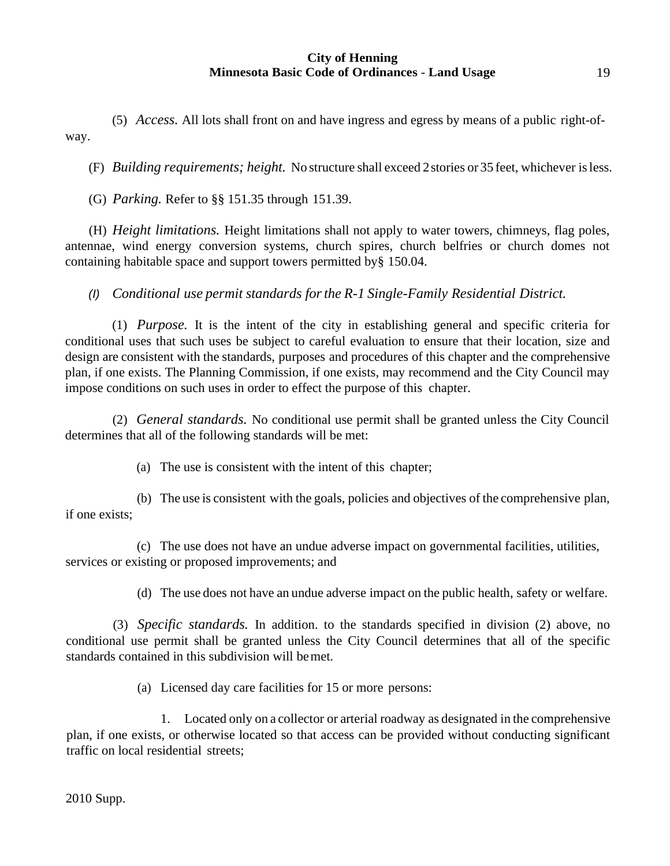(5) *Access.* All lots shall front on and have ingress and egress by means of a public right-ofway.

(F) *Building requirements; height.* No structure shall exceed 2stories or 35 feet, whichever isless.

(G) *Parking.* Refer to §§ 151.35 through 151.39.

(H) *Height limitations.* Height limitations shall not apply to water towers, chimneys, flag poles, antennae, wind energy conversion systems, church spires, church belfries or church domes not containing habitable space and support towers permitted by§ 150.04.

*(I) Conditional use permit standards forthe R-1 Single-Family Residential District.*

(1) *Purpose.* It is the intent of the city in establishing general and specific criteria for conditional uses that such uses be subject to careful evaluation to ensure that their location, size and design are consistent with the standards, purposes and procedures of this chapter and the comprehensive plan, if one exists. The Planning Commission, if one exists, may recommend and the City Council may impose conditions on such uses in order to effect the purpose of this chapter.

(2) *General standards.* No conditional use permit shall be granted unless the City Council determines that all of the following standards will be met:

(a) The use is consistent with the intent of this chapter;

(b) The use is consistent with the goals, policies and objectives of the comprehensive plan, if one exists;

(c) The use does not have an undue adverse impact on governmental facilities, utilities, services or existing or proposed improvements; and

(d) The use does not have an undue adverse impact on the public health, safety or welfare.

(3) *Specific standards.* In addition. to the standards specified in division (2) above, no conditional use permit shall be granted unless the City Council determines that all of the specific standards contained in this subdivision will bemet.

(a) Licensed day care facilities for 15 or more persons:

1. Located only on a collector or arterial roadway as designated in the comprehensive plan, if one exists, or otherwise located so that access can be provided without conducting significant traffic on local residential streets;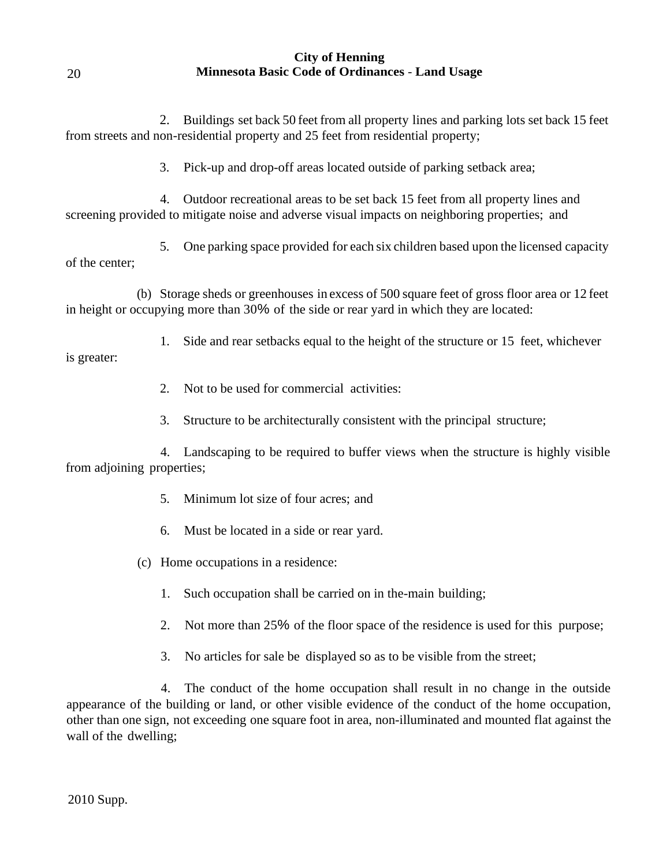2. Buildings set back 50 feet from all property lines and parking lots set back 15 feet from streets and non-residential property and 25 feet from residential property;

3. Pick-up and drop-off areas located outside of parking setback area;

4. Outdoor recreational areas to be set back 15 feet from all property lines and screening provided to mitigate noise and adverse visual impacts on neighboring properties; and

5. One parking space provided for each six children based upon the licensed capacity of the center;

(b) Storage sheds or greenhouses in excess of 500 square feet of gross floor area or 12 feet in height or occupying more than 30% of the side or rear yard in which they are located:

1. Side and rear setbacks equal to the height of the structure or 15 feet, whichever

is greater:

20

- 2. Not to be used for commercial activities:
- 3. Structure to be architecturally consistent with the principal structure;

4. Landscaping to be required to buffer views when the structure is highly visible from adjoining properties;

- 5. Minimum lot size of four acres; and
- 6. Must be located in a side or rear yard.
- (c) Home occupations in a residence:
	- 1. Such occupation shall be carried on in the-main building;
	- 2. Not more than 25% of the floor space of the residence is used for this purpose;
	- 3. No articles for sale be displayed so as to be visible from the street;

4. The conduct of the home occupation shall result in no change in the outside appearance of the building or land, or other visible evidence of the conduct of the home occupation, other than one sign, not exceeding one square foot in area, non-illuminated and mounted flat against the wall of the dwelling;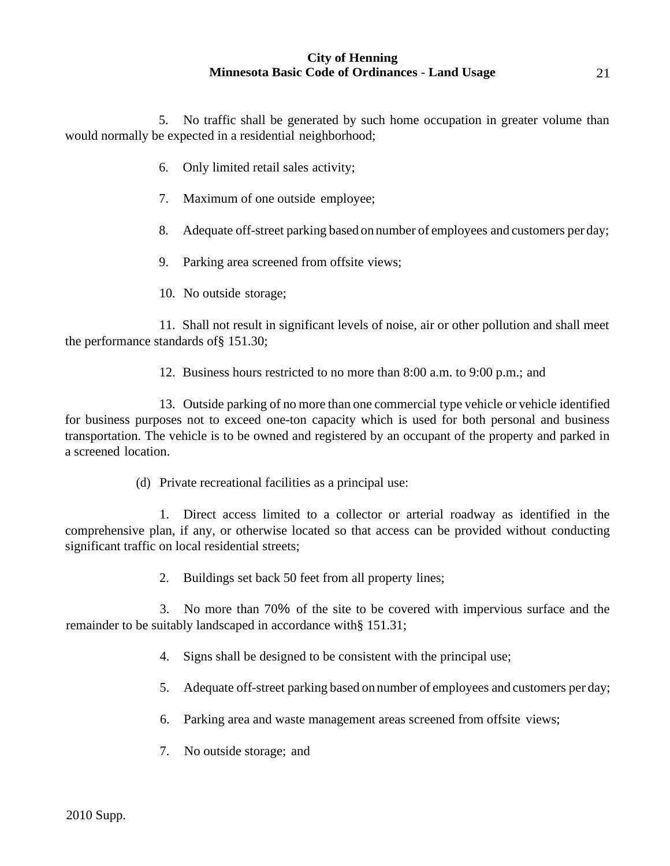5. No traffic shall be generated by such home occupation in greater volume than would normally be expected in a residential neighborhood;

- 6. Only limited retail sales activity;
- 7. Maximum of one outside employee;
- 8. Adequate off-street parking based on number of employees and customers per day;
- 9. Parking area screened from offsite views;
- 10. No outside storage;

11. Shall not result in significant levels of noise, air or other pollution and shall meet the performance standards of§ 151.30;

12. Business hours restricted to no more than 8:00 a.m. to 9:00 p.m.; and

13. Outside parking of no more than one commercial type vehicle or vehicle identified for business purposes not to exceed one-ton capacity which is used for both personal and business transportation. The vehicle is to be owned and registered by an occupant of the property and parked in a screened location.

(d) Private recreational facilities as a principal use:

1. Direct access limited to a collector or arterial roadway as identified in the comprehensive plan, if any, or otherwise located so that access can be provided without conducting significant traffic on local residential streets;

2. Buildings set back 50 feet from all property lines;

3. No more than 70% of the site to be covered with impervious surface and the remainder to be suitably landscaped in accordance with§ 151.31;

- 4. Signs shall be designed to be consistent with the principal use;
- 5. Adequate off-street parking based on number of employees and customers per day;
- 6. Parking area and waste management areas screened from offsite views;
- 7. No outside storage; and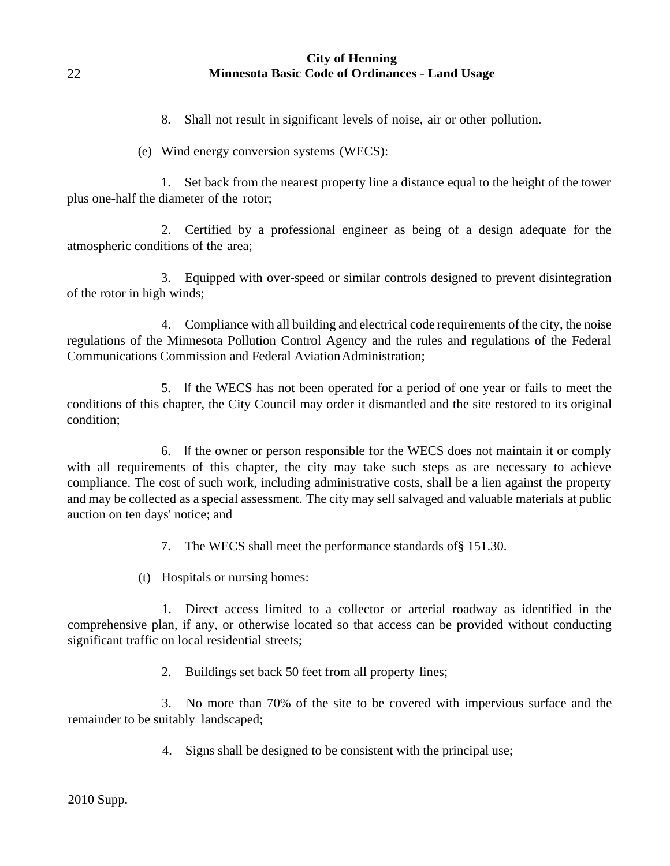8. Shall not result in significant levels of noise, air or other pollution.

(e) Wind energy conversion systems (WECS):

1. Set back from the nearest property line a distance equal to the height of the tower plus one-half the diameter of the rotor;

2. Certified by a professional engineer as being of a design adequate for the atmospheric conditions of the area;

3. Equipped with over-speed or similar controls designed to prevent disintegration of the rotor in high winds;

4. Compliance with all building and electrical code requirements of the city, the noise regulations of the Minnesota Pollution Control Agency and the rules and regulations of the Federal Communications Commission and Federal Aviation Administration:

5. If the WECS has not been operated for a period of one year or fails to meet the conditions of this chapter, the City Council may order it dismantled and the site restored to its original condition;

6. If the owner or person responsible for the WECS does not maintain it or comply with all requirements of this chapter, the city may take such steps as are necessary to achieve compliance. The cost of such work, including administrative costs, shall be a lien against the property and may be collected as a special assessment. The city may sell salvaged and valuable materials at public auction on ten days' notice; and

7. The WECS shall meet the performance standards of§ 151.30.

(t) Hospitals or nursing homes:

1. Direct access limited to a collector or arterial roadway as identified in the comprehensive plan, if any, or otherwise located so that access can be provided without conducting significant traffic on local residential streets;

2. Buildings set back 50 feet from all property lines;

3. No more than 70% of the site to be covered with impervious surface and the remainder to be suitably landscaped;

4. Signs shall be designed to be consistent with the principal use;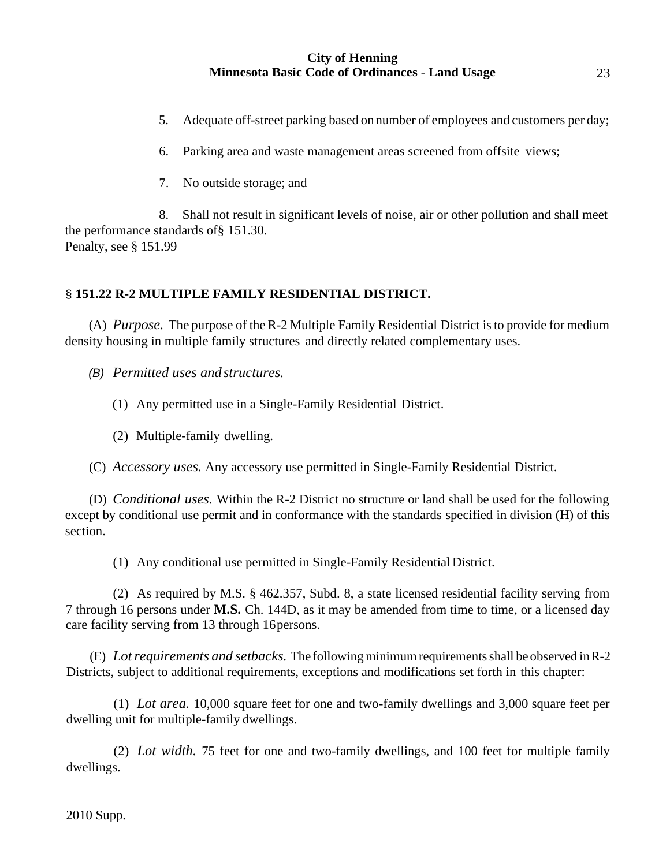- 5. Adequate off-street parking based on number of employees and customers per day;
- 6. Parking area and waste management areas screened from offsite views;
- 7. No outside storage; and

8. Shall not result in significant levels of noise, air or other pollution and shall meet the performance standards of§ 151.30. Penalty, see § 151.99

# § **151.22 R-2 MULTIPLE FAMILY RESIDENTIAL DISTRICT.**

(A) *Purpose.* The purpose of the R-2 Multiple Family Residential District isto provide for medium density housing in multiple family structures and directly related complementary uses.

*(B) Permitted uses andstructures.*

(1) Any permitted use in a Single-Family Residential District.

(2) Multiple-family dwelling.

(C) *Accessory uses.* Any accessory use permitted in Single-Family Residential District.

(D) *Conditional uses.* Within the R-2 District no structure or land shall be used for the following except by conditional use permit and in conformance with the standards specified in division (H) of this section.

(1) Any conditional use permitted in Single-Family Residential District.

(2) As required by M.S. § 462.357, Subd. 8, a state licensed residential facility serving from 7 through 16 persons under **M.S.** Ch. 144D, as it may be amended from time to time, or a licensed day care facility serving from 13 through 16persons.

(E) *Lotrequirements and setbacks.* The following minimumrequirementsshall be observed inR-2 Districts, subject to additional requirements, exceptions and modifications set forth in this chapter:

(1) *Lot area.* 10,000 square feet for one and two-family dwellings and 3,000 square feet per dwelling unit for multiple-family dwellings.

(2) *Lot width.* 75 feet for one and two-family dwellings, and 100 feet for multiple family dwellings.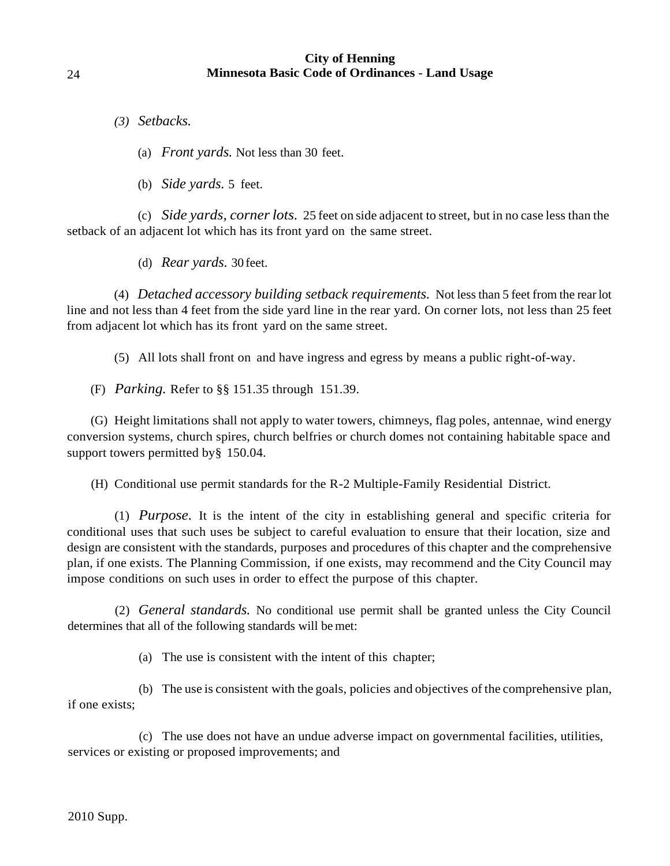*(3) Setbacks.*

(a) *Front yards.* Not less than 30 feet.

(b) *Side yards.* 5 feet.

(c) *Side yards, cornerlots.* 25 feet on side adjacent to street, but in no case less than the setback of an adjacent lot which has its front yard on the same street.

(d) *Rear yards.* 30 feet.

(4) *Detached accessory building setback requirements.* Not less than 5 feet from the rearlot line and not less than 4 feet from the side yard line in the rear yard. On corner lots, not less than 25 feet from adjacent lot which has its front yard on the same street.

(5) All lots shall front on and have ingress and egress by means a public right-of-way.

(F) *Parking.* Refer to §§ 151.35 through 151.39.

(G) Height limitations shall not apply to water towers, chimneys, flag poles, antennae, wind energy conversion systems, church spires, church belfries or church domes not containing habitable space and support towers permitted by § 150.04.

(H) Conditional use permit standards for the R-2 Multiple-Family Residential District.

(1) *Purpose.* It is the intent of the city in establishing general and specific criteria for conditional uses that such uses be subject to careful evaluation to ensure that their location, size and design are consistent with the standards, purposes and procedures of this chapter and the comprehensive plan, if one exists. The Planning Commission, if one exists, may recommend and the City Council may impose conditions on such uses in order to effect the purpose of this chapter.

(2) *General standards.* No conditional use permit shall be granted unless the City Council determines that all of the following standards will be met:

(a) The use is consistent with the intent of this chapter;

(b) The use is consistent with the goals, policies and objectives of the comprehensive plan, if one exists;

(c) The use does not have an undue adverse impact on governmental facilities, utilities, services or existing or proposed improvements; and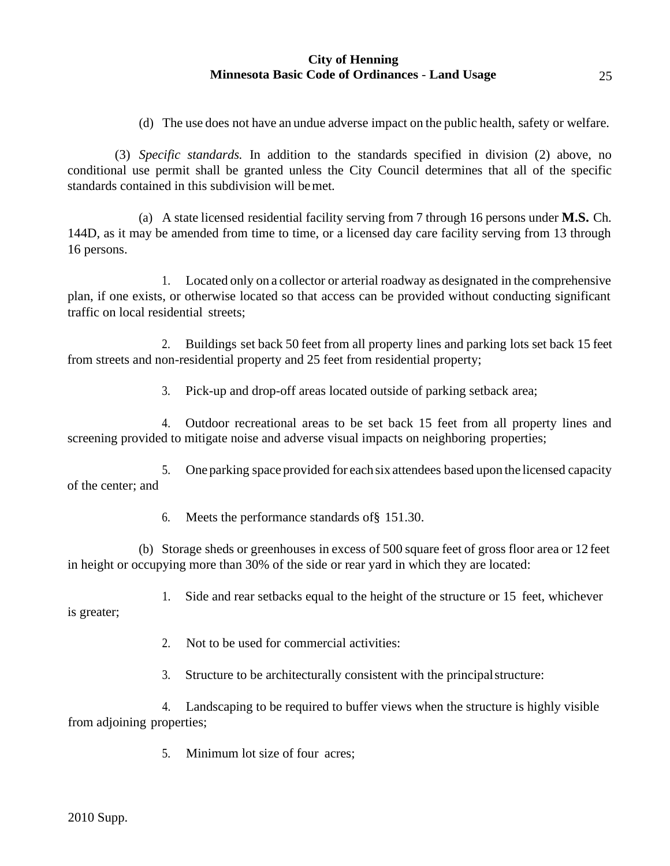(d) The use does not have an undue adverse impact on the public health, safety or welfare.

(3) *Specific standards.* In addition to the standards specified in division (2) above, no conditional use permit shall be granted unless the City Council determines that all of the specific standards contained in this subdivision will bemet.

(a) A state licensed residential facility serving from 7 through 16 persons under **M.S.** Ch. 144D, as it may be amended from time to time, or a licensed day care facility serving from 13 through 16 persons.

1. Located only on a collector or arterial roadway as designated in the comprehensive plan, if one exists, or otherwise located so that access can be provided without conducting significant traffic on local residential streets;

2. Buildings set back 50 feet from all property lines and parking lots set back 15 feet from streets and non-residential property and 25 feet from residential property;

3. Pick-up and drop-off areas located outside of parking setback area;

4. Outdoor recreational areas to be set back 15 feet from all property lines and screening provided to mitigate noise and adverse visual impacts on neighboring properties;

5. Oneparking space provided for each six attendees based upon the licensed capacity of the center; and

6. Meets the performance standards of§ 151.30.

(b) Storage sheds or greenhouses in excess of 500 square feet of gross floor area or 12 feet in height or occupying more than 30% of the side or rear yard in which they are located:

1. Side and rear setbacks equal to the height of the structure or 15 feet, whichever

is greater;

2. Not to be used for commercial activities:

3. Structure to be architecturally consistent with the principalstructure:

4. Landscaping to be required to buffer views when the structure is highly visible from adjoining properties;

5. Minimum lot size of four acres;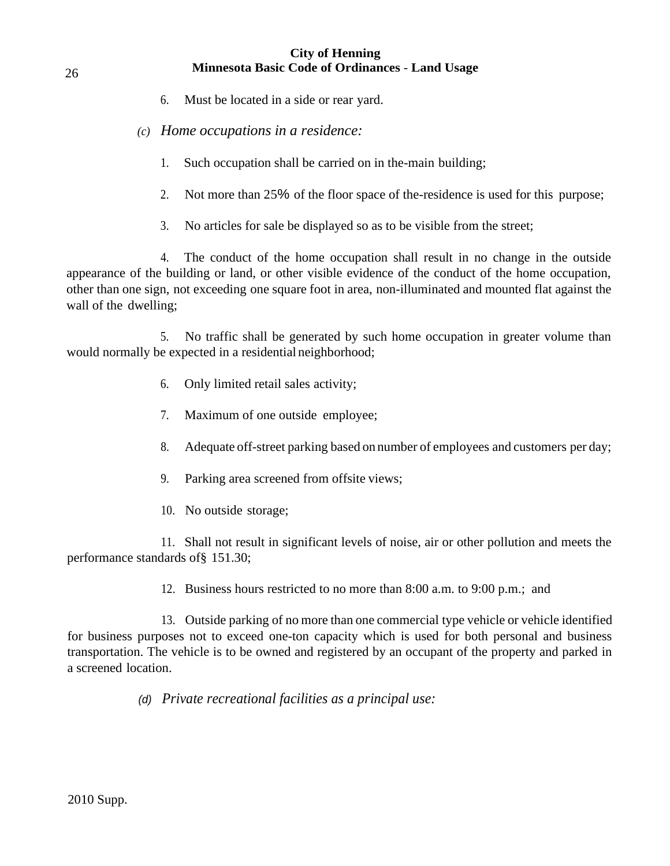- 6. Must be located in a side or rear yard.
- *(c) Home occupations in a residence:*
	- 1. Such occupation shall be carried on in the-main building;
	- 2. Not more than 25% of the floor space of the-residence is used for this purpose;
	- 3. No articles for sale be displayed so as to be visible from the street;

4. The conduct of the home occupation shall result in no change in the outside appearance of the building or land, or other visible evidence of the conduct of the home occupation, other than one sign, not exceeding one square foot in area, non-illuminated and mounted flat against the wall of the dwelling;

5. No traffic shall be generated by such home occupation in greater volume than would normally be expected in a residential neighborhood;

- 6. Only limited retail sales activity;
- 7. Maximum of one outside employee;
- 8. Adequate off-street parking based on number of employees and customers per day;
- 9. Parking area screened from offsite views;
- 10. No outside storage;

11. Shall not result in significant levels of noise, air or other pollution and meets the performance standards of§ 151.30;

12. Business hours restricted to no more than 8:00 a.m. to 9:00 p.m.; and

13. Outside parking of no more than one commercial type vehicle or vehicle identified for business purposes not to exceed one-ton capacity which is used for both personal and business transportation. The vehicle is to be owned and registered by an occupant of the property and parked in a screened location.

*(d) Private recreational facilities as a principal use:*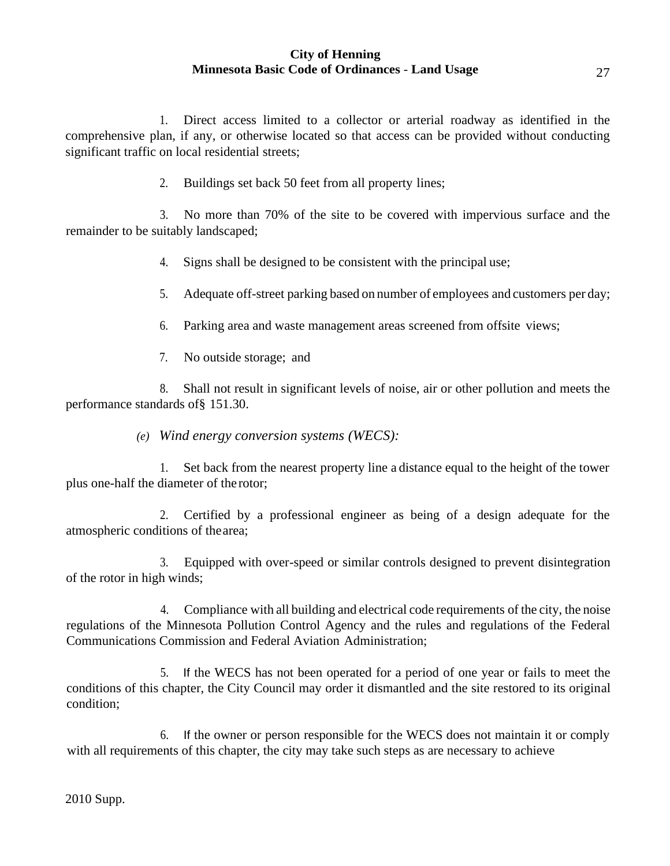1. Direct access limited to a collector or arterial roadway as identified in the comprehensive plan, if any, or otherwise located so that access can be provided without conducting significant traffic on local residential streets;

2. Buildings set back 50 feet from all property lines;

3. No more than 70% of the site to be covered with impervious surface and the remainder to be suitably landscaped;

4. Signs shall be designed to be consistent with the principal use;

5. Adequate off-street parking based on number of employees and customers per day;

6. Parking area and waste management areas screened from offsite views;

7. No outside storage; and

8. Shall not result in significant levels of noise, air or other pollution and meets the performance standards of§ 151.30.

*(e) Wind energy conversion systems (WECS):*

1. Set back from the nearest property line a distance equal to the height of the tower plus one-half the diameter of the rotor;

2. Certified by a professional engineer as being of a design adequate for the atmospheric conditions of thearea;

3. Equipped with over-speed or similar controls designed to prevent disintegration of the rotor in high winds;

4. Compliance with all building and electrical code requirements of the city, the noise regulations of the Minnesota Pollution Control Agency and the rules and regulations of the Federal Communications Commission and Federal Aviation Administration;

5. If the WECS has not been operated for a period of one year or fails to meet the conditions of this chapter, the City Council may order it dismantled and the site restored to its original condition;

6. If the owner or person responsible for the WECS does not maintain it or comply with all requirements of this chapter, the city may take such steps as are necessary to achieve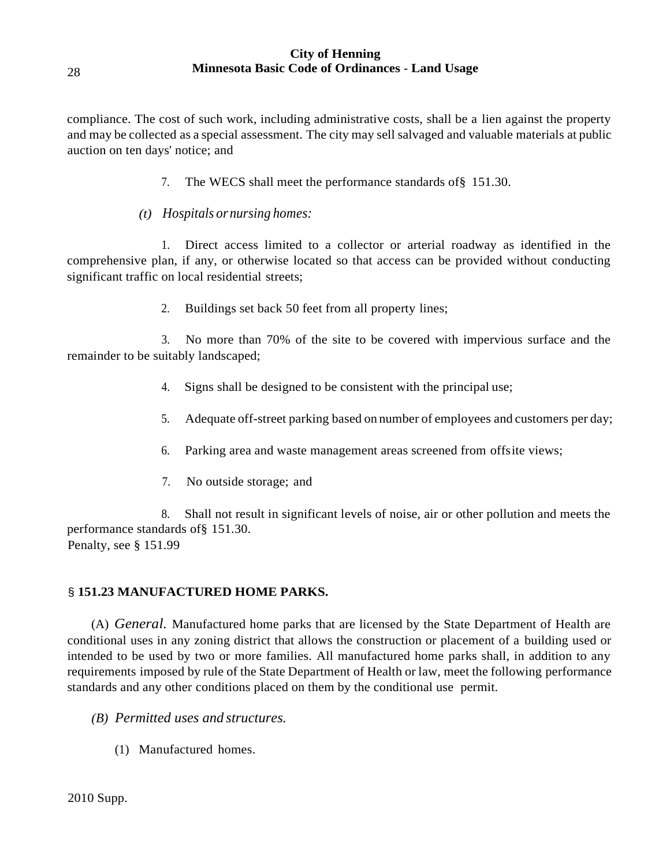compliance. The cost of such work, including administrative costs, shall be a lien against the property and may be collected as a special assessment. The city may sell salvaged and valuable materials at public auction on ten days' notice; and

- 7. The WECS shall meet the performance standards of§ 151.30.
- *(t) Hospitals or nursing homes:*

1. Direct access limited to a collector or arterial roadway as identified in the comprehensive plan, if any, or otherwise located so that access can be provided without conducting significant traffic on local residential streets;

2. Buildings set back 50 feet from all property lines;

3. No more than 70% of the site to be covered with impervious surface and the remainder to be suitably landscaped;

- 4. Signs shall be designed to be consistent with the principal use;
- 5. Adequate off-street parking based on number of employees and customers per day;
- 6. Parking area and waste management areas screened from offsite views;
- 7. No outside storage; and

8. Shall not result in significant levels of noise, air or other pollution and meets the performance standards of§ 151.30. Penalty, see § 151.99

#### § **151.23 MANUFACTURED HOME PARKS.**

(A) *General.* Manufactured home parks that are licensed by the State Department of Health are conditional uses in any zoning district that allows the construction or placement of a building used or intended to be used by two or more families. All manufactured home parks shall, in addition to any requirements imposed by rule of the State Department of Health or law, meet the following performance standards and any other conditions placed on them by the conditional use permit.

- *(B) Permitted uses and structures.*
	- (1) Manufactured homes.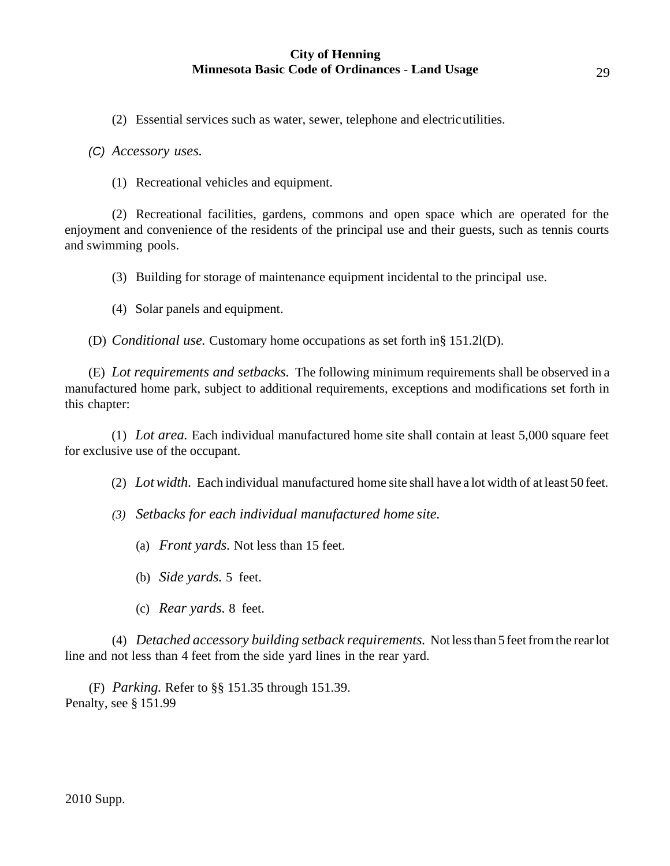(2) Essential services such as water, sewer, telephone and electricutilities.

*(C) Accessory uses.*

(1) Recreational vehicles and equipment.

(2) Recreational facilities, gardens, commons and open space which are operated for the enjoyment and convenience of the residents of the principal use and their guests, such as tennis courts and swimming pools.

(3) Building for storage of maintenance equipment incidental to the principal use.

(4) Solar panels and equipment.

(D) *Conditional use.* Customary home occupations as set forth in§ 151.2l(D).

(E) *Lot requirements and setbacks.* The following minimum requirements shall be observed in a manufactured home park, subject to additional requirements, exceptions and modifications set forth in this chapter:

(1) *Lot area.* Each individual manufactured home site shall contain at least 5,000 square feet for exclusive use of the occupant.

(2) *Lotwidth.* Each individual manufactured home site shall have a lot width of at least 50 feet.

*(3) Setbacks for each individual manufactured home site.*

- (a) *Front yards.* Not less than 15 feet.
- (b) *Side yards.* 5 feet.
- (c) *Rear yards.* 8 feet.

(4) *Detached accessory building setback requirements.* Not lessthan 5 feetfromthe rearlot line and not less than 4 feet from the side yard lines in the rear yard.

(F) *Parking.* Refer to §§ 151.35 through 151.39. Penalty, see § 151.99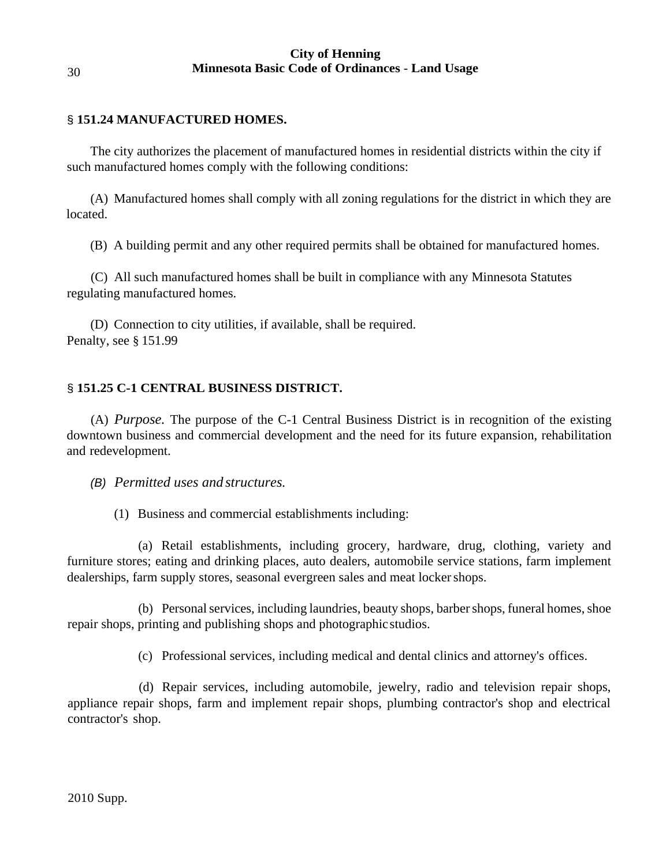## § **151.24 MANUFACTURED HOMES.**

The city authorizes the placement of manufactured homes in residential districts within the city if such manufactured homes comply with the following conditions:

(A) Manufactured homes shall comply with all zoning regulations for the district in which they are located.

(B) A building permit and any other required permits shall be obtained for manufactured homes.

(C) All such manufactured homes shall be built in compliance with any Minnesota Statutes regulating manufactured homes.

(D) Connection to city utilities, if available, shall be required. Penalty, see § 151.99

# § **151.25 C-1 CENTRAL BUSINESS DISTRICT.**

(A) *Purpose.* The purpose of the C-1 Central Business District is in recognition of the existing downtown business and commercial development and the need for its future expansion, rehabilitation and redevelopment.

*(B) Permitted uses and structures.*

(1) Business and commercial establishments including:

(a) Retail establishments, including grocery, hardware, drug, clothing, variety and furniture stores; eating and drinking places, auto dealers, automobile service stations, farm implement dealerships, farm supply stores, seasonal evergreen sales and meat lockershops.

(b) Personal services, including laundries, beauty shops, barber shops, funeral homes, shoe repair shops, printing and publishing shops and photographicstudios.

(c) Professional services, including medical and dental clinics and attorney's offices.

(d) Repair services, including automobile, jewelry, radio and television repair shops, appliance repair shops, farm and implement repair shops, plumbing contractor's shop and electrical contractor's shop.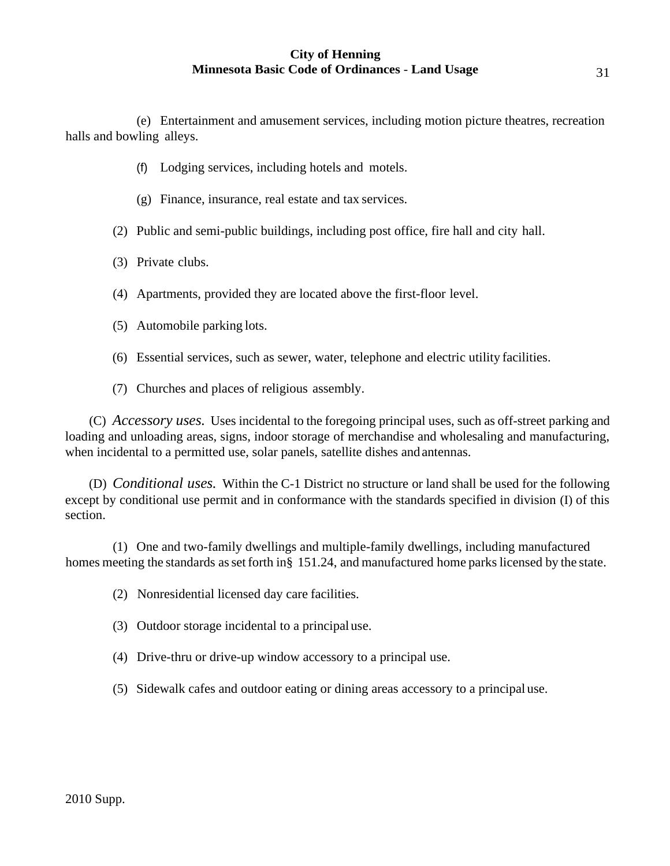(e) Entertainment and amusement services, including motion picture theatres, recreation halls and bowling alleys.

- (f) Lodging services, including hotels and motels.
- (g) Finance, insurance, real estate and tax services.
- (2) Public and semi-public buildings, including post office, fire hall and city hall.
- (3) Private clubs.
- (4) Apartments, provided they are located above the first-floor level.
- (5) Automobile parking lots.
- (6) Essential services, such as sewer, water, telephone and electric utility facilities.
- (7) Churches and places of religious assembly.

(C) *Accessory uses.* Uses incidental to the foregoing principal uses, such as off-street parking and loading and unloading areas, signs, indoor storage of merchandise and wholesaling and manufacturing, when incidental to a permitted use, solar panels, satellite dishes and antennas.

(D) *Conditional uses.* Within the C-1 District no structure or land shall be used for the following except by conditional use permit and in conformance with the standards specified in division (I) of this section.

(1) One and two-family dwellings and multiple-family dwellings, including manufactured homes meeting the standards as set forth in§ 151.24, and manufactured home parks licensed by the state.

- (2) Nonresidential licensed day care facilities.
- (3) Outdoor storage incidental to a principaluse.
- (4) Drive-thru or drive-up window accessory to a principal use.
- (5) Sidewalk cafes and outdoor eating or dining areas accessory to a principal use.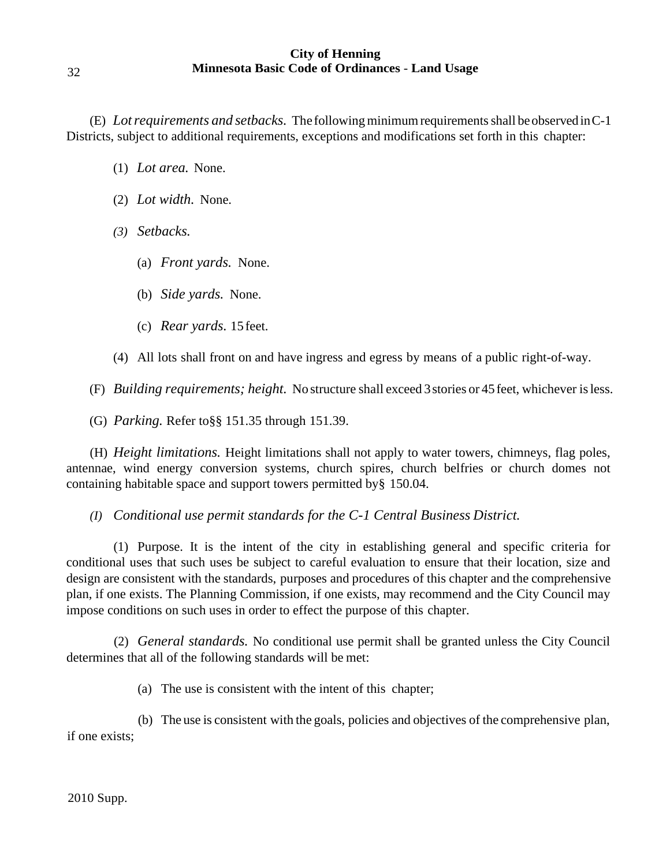(E) *Lotrequirements and setbacks.* The followingminimumrequirementsshall beobserved inC-1 Districts, subject to additional requirements, exceptions and modifications set forth in this chapter:

- (1) *Lot area.* None.
- (2) *Lot width.* None.
- *(3) Setbacks.*
	- (a) *Front yards.* None.
	- (b) *Side yards.* None.
	- (c) *Rear yards.* 15 feet.
- (4) All lots shall front on and have ingress and egress by means of a public right-of-way.

(F) *Building requirements; height.* No structure shall exceed 3stories or 45 feet, whichever isless.

(G) *Parking.* Refer to§§ 151.35 through 151.39.

(H) *Height limitations.* Height limitations shall not apply to water towers, chimneys, flag poles, antennae, wind energy conversion systems, church spires, church belfries or church domes not containing habitable space and support towers permitted by§ 150.04.

*(I) Conditional use permit standards for the C-1 Central Business District.*

(1) Purpose. It is the intent of the city in establishing general and specific criteria for conditional uses that such uses be subject to careful evaluation to ensure that their location, size and design are consistent with the standards, purposes and procedures of this chapter and the comprehensive plan, if one exists. The Planning Commission, if one exists, may recommend and the City Council may impose conditions on such uses in order to effect the purpose of this chapter.

(2) *General standards.* No conditional use permit shall be granted unless the City Council determines that all of the following standards will be met:

(a) The use is consistent with the intent of this chapter;

(b) The use is consistent with the goals, policies and objectives of the comprehensive plan, if one exists;

32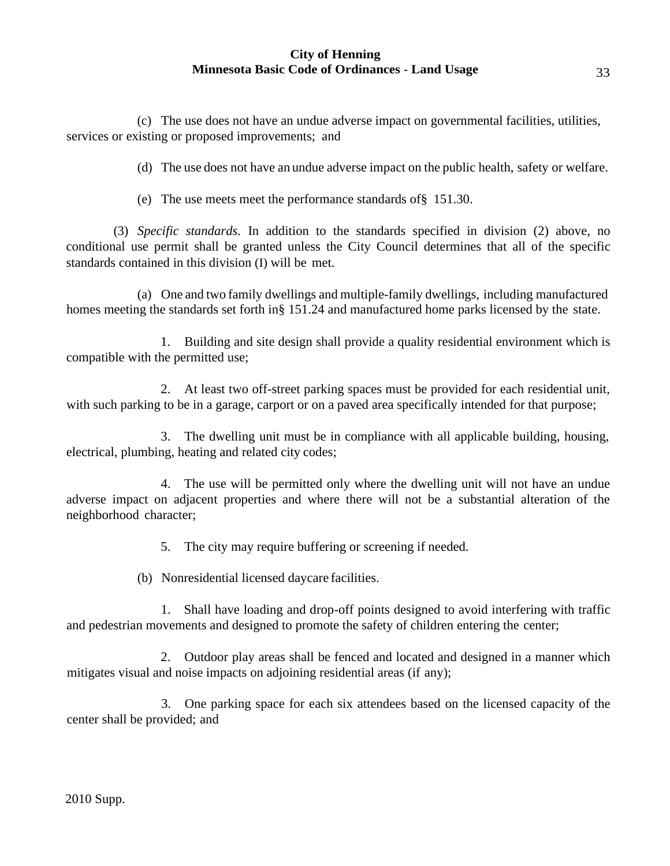(c) The use does not have an undue adverse impact on governmental facilities, utilities, services or existing or proposed improvements; and

(d) The use does not have an undue adverse impact on the public health, safety or welfare.

(e) The use meets meet the performance standards of§ 151.30.

(3) *Specific standards.* In addition to the standards specified in division (2) above, no conditional use permit shall be granted unless the City Council determines that all of the specific standards contained in this division (I) will be met.

(a) One and two family dwellings and multiple-family dwellings, including manufactured homes meeting the standards set forth in§ 151.24 and manufactured home parks licensed by the state.

1. Building and site design shall provide a quality residential environment which is compatible with the permitted use;

2. At least two off-street parking spaces must be provided for each residential unit, with such parking to be in a garage, carport or on a paved area specifically intended for that purpose;

3. The dwelling unit must be in compliance with all applicable building, housing, electrical, plumbing, heating and related city codes;

4. The use will be permitted only where the dwelling unit will not have an undue adverse impact on adjacent properties and where there will not be a substantial alteration of the neighborhood character;

5. The city may require buffering or screening if needed.

(b) Nonresidential licensed daycare facilities.

1. Shall have loading and drop-off points designed to avoid interfering with traffic and pedestrian movements and designed to promote the safety of children entering the center;

2. Outdoor play areas shall be fenced and located and designed in a manner which mitigates visual and noise impacts on adjoining residential areas (if any);

3. One parking space for each six attendees based on the licensed capacity of the center shall be provided; and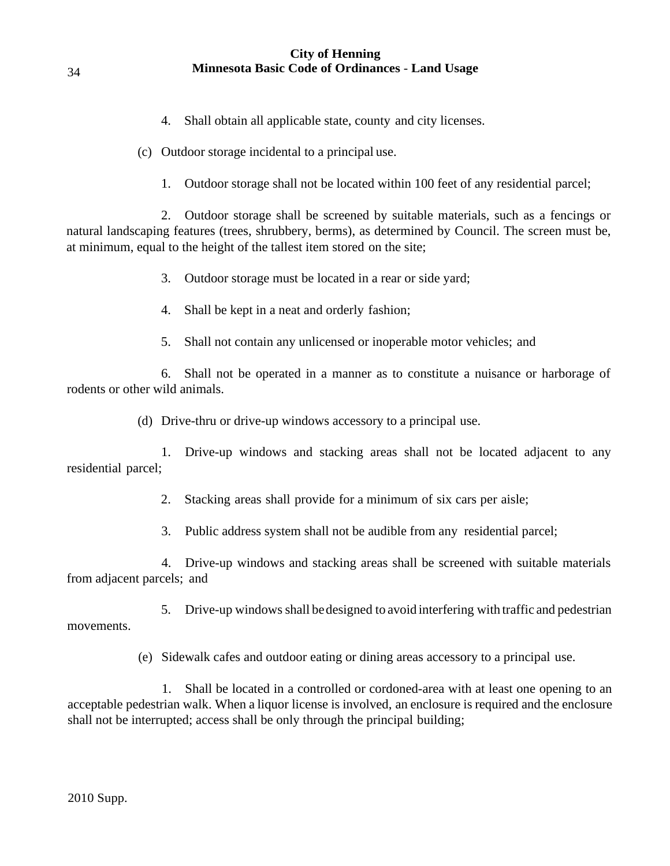- 4. Shall obtain all applicable state, county and city licenses.
- (c) Outdoor storage incidental to a principal use.
	- 1. Outdoor storage shall not be located within 100 feet of any residential parcel;

2. Outdoor storage shall be screened by suitable materials, such as a fencings or natural landscaping features (trees, shrubbery, berms), as determined by Council. The screen must be, at minimum, equal to the height of the tallest item stored on the site;

- 3. Outdoor storage must be located in a rear or side yard;
- 4. Shall be kept in a neat and orderly fashion;
- 5. Shall not contain any unlicensed or inoperable motor vehicles; and

6. Shall not be operated in a manner as to constitute a nuisance or harborage of rodents or other wild animals.

(d) Drive-thru or drive-up windows accessory to a principal use.

1. Drive-up windows and stacking areas shall not be located adjacent to any residential parcel;

2. Stacking areas shall provide for a minimum of six cars per aisle;

3. Public address system shall not be audible from any residential parcel;

4. Drive-up windows and stacking areas shall be screened with suitable materials from adjacent parcels; and

5. Drive-up windowsshall bedesigned to avoid interfering with traffic and pedestrian movements.

(e) Sidewalk cafes and outdoor eating or dining areas accessory to a principal use.

1. Shall be located in a controlled or cordoned-area with at least one opening to an acceptable pedestrian walk. When a liquor license is involved, an enclosure is required and the enclosure shall not be interrupted; access shall be only through the principal building;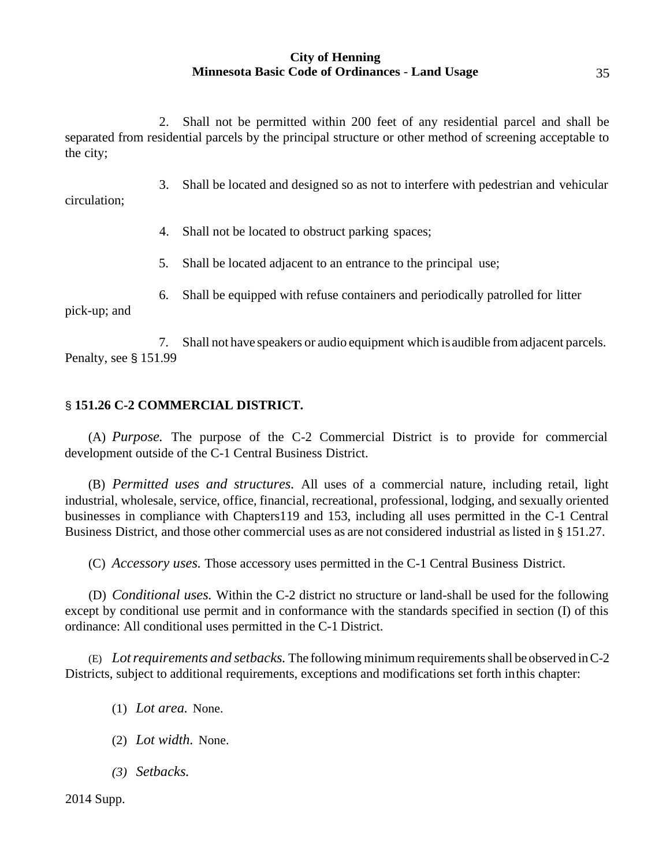2. Shall not be permitted within 200 feet of any residential parcel and shall be separated from residential parcels by the principal structure or other method of screening acceptable to the city;

3. Shall be located and designed so as not to interfere with pedestrian and vehicular circulation;

4. Shall not be located to obstruct parking spaces;

5. Shall be located adjacent to an entrance to the principal use;

6. Shall be equipped with refuse containers and periodically patrolled for litter

pick-up; and

7. Shall not have speakers or audio equipment which is audible fromadjacent parcels. Penalty, see § 151.99

# § **151.26 C-2 COMMERCIAL DISTRICT.**

(A) *Purpose.* The purpose of the C-2 Commercial District is to provide for commercial development outside of the C-1 Central Business District.

(B) *Permitted uses and structures.* All uses of a commercial nature, including retail, light industrial, wholesale, service, office, financial, recreational, professional, lodging, and sexually oriented businesses in compliance with Chapters119 and 153, including all uses permitted in the C-1 Central Business District, and those other commercial uses as are not considered industrial as listed in § 151.27.

(C) *Accessory uses.* Those accessory uses permitted in the C-1 Central Business District.

(D) *Conditional uses.* Within the C-2 district no structure or land-shall be used for the following except by conditional use permit and in conformance with the standards specified in section (I) of this ordinance: All conditional uses permitted in the C-1 District.

(E) *Lotrequirements and setbacks.* The following minimumrequirementsshall be observed inC-2 Districts, subject to additional requirements, exceptions and modifications set forth inthis chapter:

(1) *Lot area.* None.

- (2) *Lot width.* None.
- *(3) Setbacks.*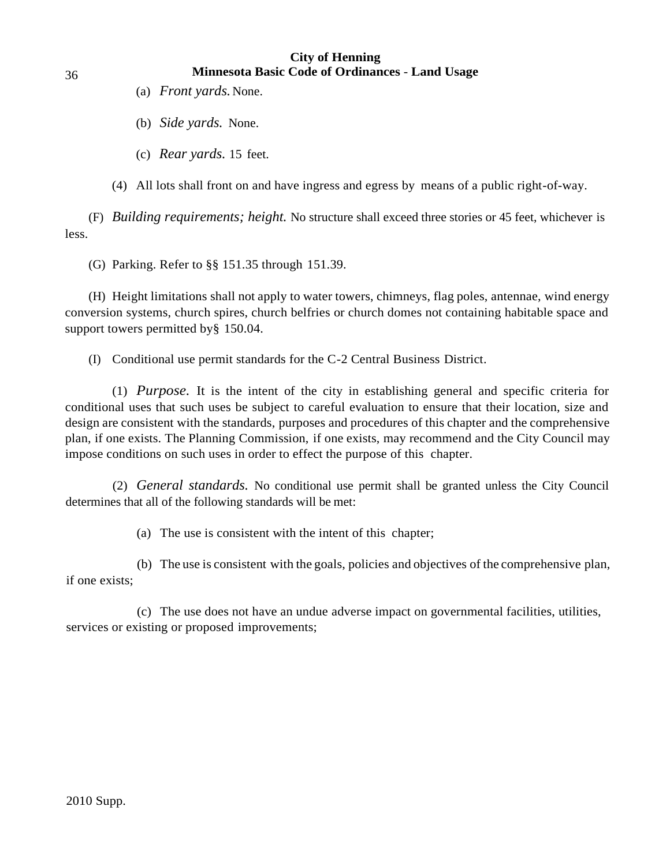- (a) *Front yards.*None.
- (b) *Side yards.* None.
- (c) *Rear yards.* 15 feet.
- (4) All lots shall front on and have ingress and egress by means of a public right-of-way.

less. (F) *Building requirements; height.* No structure shall exceed three stories or 45 feet, whichever is

(G) Parking. Refer to §§ 151.35 through 151.39.

(H) Height limitations shall not apply to water towers, chimneys, flag poles, antennae, wind energy conversion systems, church spires, church belfries or church domes not containing habitable space and support towers permitted by § 150.04.

(I) Conditional use permit standards for the C-2 Central Business District.

(1) *Purpose.* It is the intent of the city in establishing general and specific criteria for conditional uses that such uses be subject to careful evaluation to ensure that their location, size and design are consistent with the standards, purposes and procedures of this chapter and the comprehensive plan, if one exists. The Planning Commission, if one exists, may recommend and the City Council may impose conditions on such uses in order to effect the purpose of this chapter.

(2) *General standards.* No conditional use permit shall be granted unless the City Council determines that all of the following standards will be met:

(a) The use is consistent with the intent of this chapter;

(b) The use is consistent with the goals, policies and objectives of the comprehensive plan, if one exists;

(c) The use does not have an undue adverse impact on governmental facilities, utilities, services or existing or proposed improvements;

2010 Supp.

36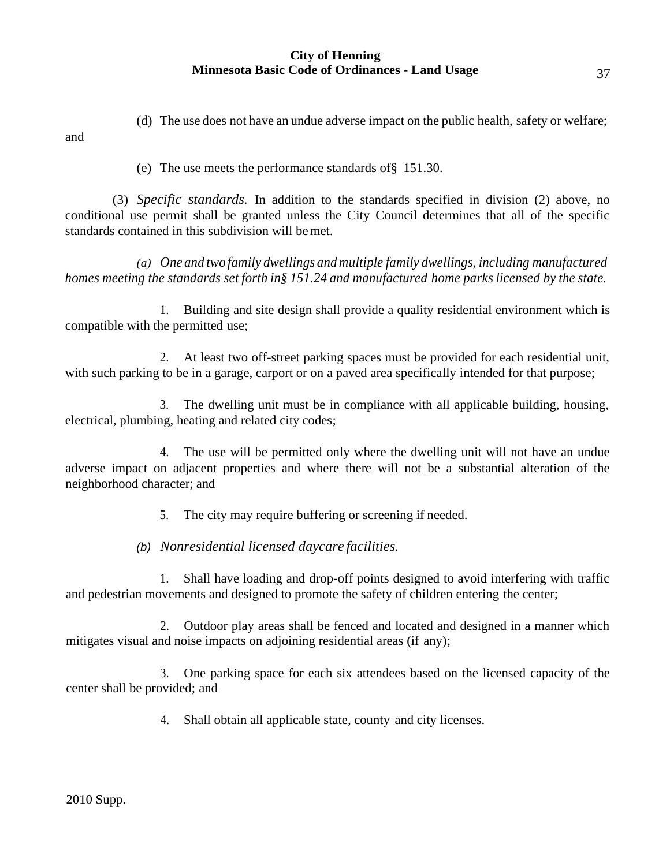(d) The use does not have an undue adverse impact on the public health, safety or welfare; and

(e) The use meets the performance standards of§ 151.30.

(3) *Specific standards.* In addition to the standards specified in division (2) above, no conditional use permit shall be granted unless the City Council determines that all of the specific standards contained in this subdivision will bemet.

*(a) One and two family dwellings and multiple family dwellings, including manufactured homes meeting the standards set forth in§ 151.24 and manufactured home parks licensed by the state.*

1. Building and site design shall provide a quality residential environment which is compatible with the permitted use;

2. At least two off-street parking spaces must be provided for each residential unit, with such parking to be in a garage, carport or on a paved area specifically intended for that purpose;

3. The dwelling unit must be in compliance with all applicable building, housing, electrical, plumbing, heating and related city codes;

4. The use will be permitted only where the dwelling unit will not have an undue adverse impact on adjacent properties and where there will not be a substantial alteration of the neighborhood character; and

5. The city may require buffering or screening if needed.

*(b) Nonresidential licensed daycare facilities.*

1. Shall have loading and drop-off points designed to avoid interfering with traffic and pedestrian movements and designed to promote the safety of children entering the center;

2. Outdoor play areas shall be fenced and located and designed in a manner which mitigates visual and noise impacts on adjoining residential areas (if any);

3. One parking space for each six attendees based on the licensed capacity of the center shall be provided; and

4. Shall obtain all applicable state, county and city licenses.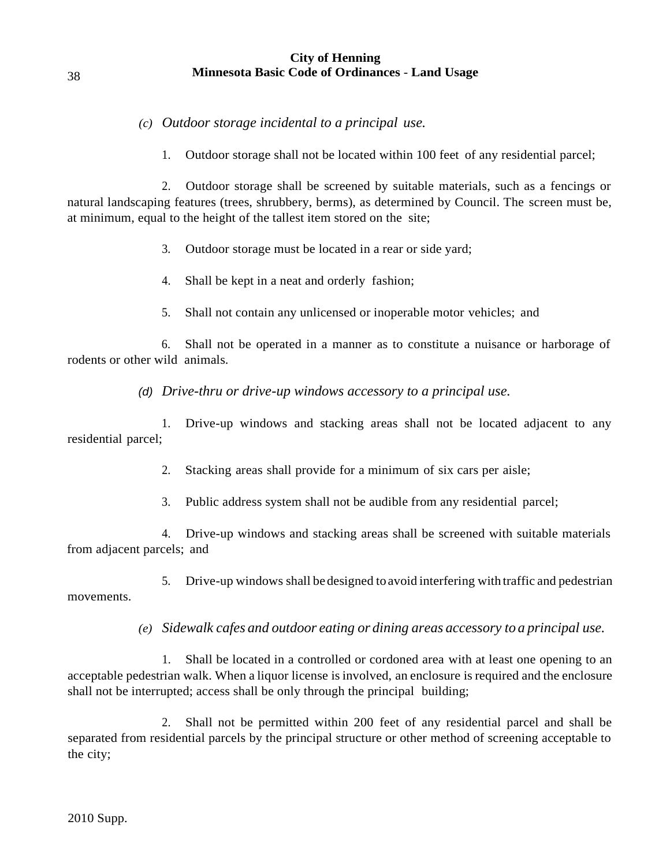# *(c) Outdoor storage incidental to a principal use.*

1. Outdoor storage shall not be located within 100 feet of any residential parcel;

2. Outdoor storage shall be screened by suitable materials, such as a fencings or natural landscaping features (trees, shrubbery, berms), as determined by Council. The screen must be, at minimum, equal to the height of the tallest item stored on the site;

3. Outdoor storage must be located in a rear or side yard;

- 4. Shall be kept in a neat and orderly fashion;
- 5. Shall not contain any unlicensed or inoperable motor vehicles; and

6. Shall not be operated in a manner as to constitute a nuisance or harborage of rodents or other wild animals.

*(d) Drive-thru or drive-up windows accessory to a principal use.*

1. Drive-up windows and stacking areas shall not be located adjacent to any residential parcel;

2. Stacking areas shall provide for a minimum of six cars per aisle;

3. Public address system shall not be audible from any residential parcel;

4. Drive-up windows and stacking areas shall be screened with suitable materials from adjacent parcels; and

5. Drive-up windows shall bedesigned to avoid interfering with traffic and pedestrian movements.

*(e) Sidewalk cafes and outdoor eating or dining areas accessory to a principal use.*

1. Shall be located in a controlled or cordoned area with at least one opening to an acceptable pedestrian walk. When a liquor license isinvolved, an enclosure is required and the enclosure shall not be interrupted; access shall be only through the principal building;

2. Shall not be permitted within 200 feet of any residential parcel and shall be separated from residential parcels by the principal structure or other method of screening acceptable to the city;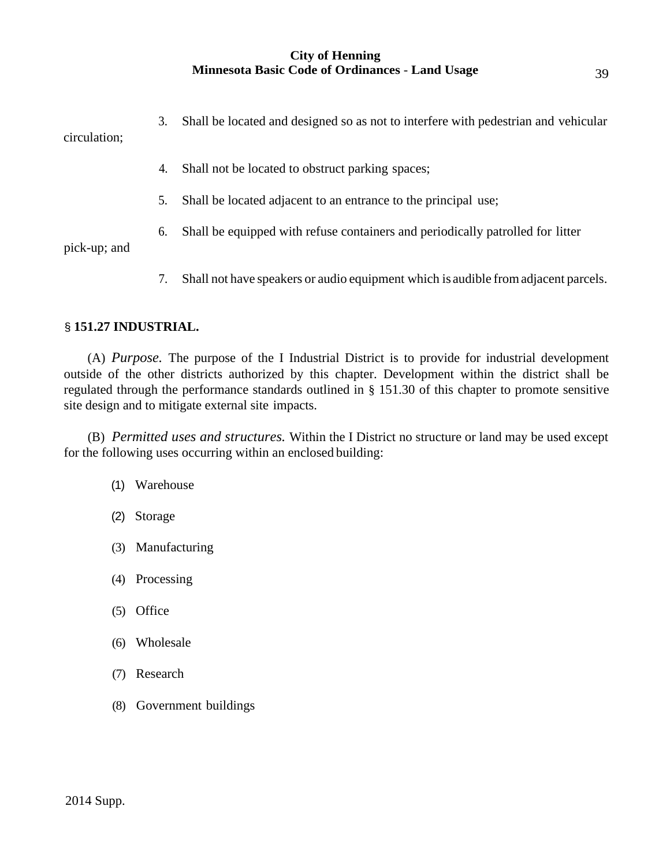3. Shall be located and designed so as not to interfere with pedestrian and vehicular circulation;

- 4. Shall not be located to obstruct parking spaces;
- 5. Shall be located adjacent to an entrance to the principal use;
- 6. Shall be equipped with refuse containers and periodically patrolled for litter

pick-up; and

7. Shall not have speakers or audio equipment which is audible fromadjacent parcels.

# § **151.27 INDUSTRIAL.**

(A) *Purpose.* The purpose of the I Industrial District is to provide for industrial development outside of the other districts authorized by this chapter. Development within the district shall be regulated through the performance standards outlined in § 151.30 of this chapter to promote sensitive site design and to mitigate external site impacts.

(B) *Permitted uses and structures.* Within the I District no structure or land may be used except for the following uses occurring within an enclosed building:

- (1) Warehouse
- (2) Storage
- (3) Manufacturing
- (4) Processing
- (5) Office
- (6) Wholesale
- (7) Research
- (8) Government buildings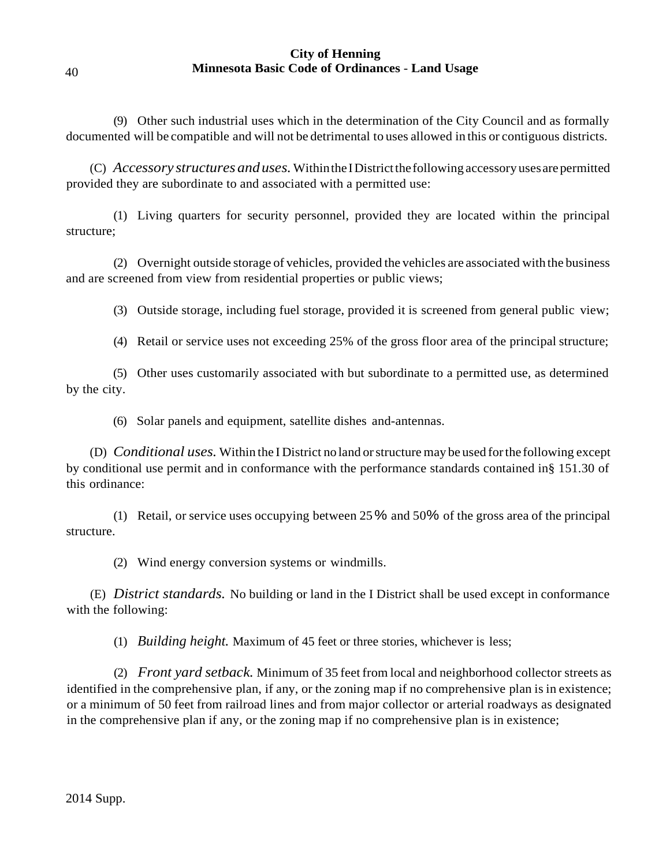(9) Other such industrial uses which in the determination of the City Council and as formally documented will be compatible and will not be detrimental to uses allowed in this or contiguous districts.

(C) *Accessory structures anduses.* WithintheIDistrictthefollowing accessory usesarepermitted provided they are subordinate to and associated with a permitted use:

(1) Living quarters for security personnel, provided they are located within the principal structure;

(2) Overnight outside storage of vehicles, provided the vehicles are associated with the business and are screened from view from residential properties or public views;

(3) Outside storage, including fuel storage, provided it is screened from general public view;

(4) Retail or service uses not exceeding 25% of the gross floor area of the principal structure;

(5) Other uses customarily associated with but subordinate to a permitted use, as determined by the city.

(6) Solar panels and equipment, satellite dishes and-antennas.

(D) *Conditional uses.* Within the I District no land orstructure may be used forthe following except by conditional use permit and in conformance with the performance standards contained in§ 151.30 of this ordinance:

(1) Retail, or service uses occupying between 25% and 50% of the gross area of the principal structure.

(2) Wind energy conversion systems or windmills.

(E) *District standards.* No building or land in the I District shall be used except in conformance with the following:

(1) *Building height.* Maximum of 45 feet or three stories, whichever is less;

(2) *Front yard setback.* Minimum of 35 feet from local and neighborhood collector streets as identified in the comprehensive plan, if any, or the zoning map if no comprehensive plan is in existence; or a minimum of 50 feet from railroad lines and from major collector or arterial roadways as designated in the comprehensive plan if any, or the zoning map if no comprehensive plan is in existence;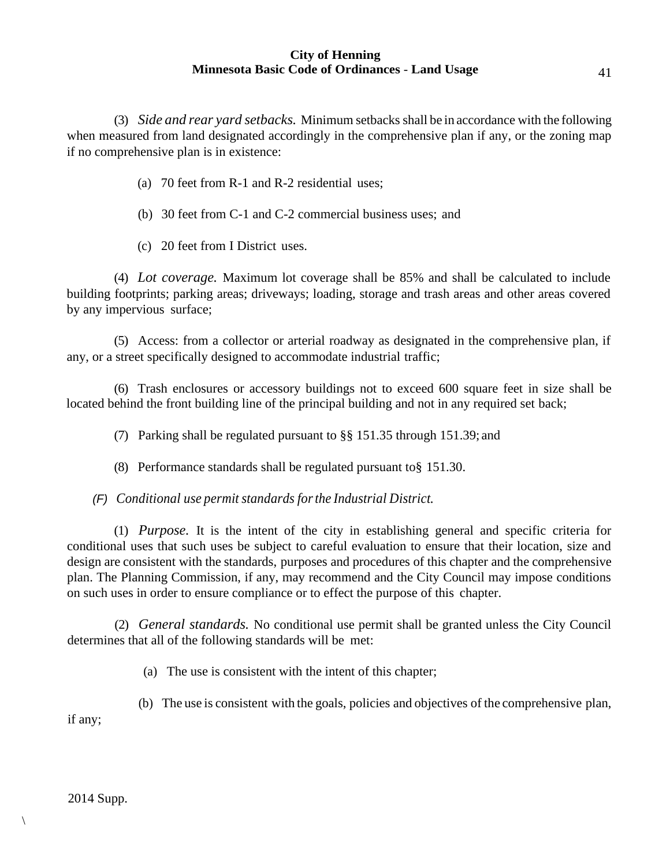(3) *Side and rear yard setbacks.* Minimum setbacks shall be in accordance with the following when measured from land designated accordingly in the comprehensive plan if any, or the zoning map if no comprehensive plan is in existence:

- (a) 70 feet from R-1 and R-2 residential uses;
- (b) 30 feet from C-1 and C-2 commercial business uses; and
- (c) 20 feet from I District uses.

(4) *Lot coverage.* Maximum lot coverage shall be 85% and shall be calculated to include building footprints; parking areas; driveways; loading, storage and trash areas and other areas covered by any impervious surface;

(5) Access: from a collector or arterial roadway as designated in the comprehensive plan, if any, or a street specifically designed to accommodate industrial traffic;

(6) Trash enclosures or accessory buildings not to exceed 600 square feet in size shall be located behind the front building line of the principal building and not in any required set back;

(7) Parking shall be regulated pursuant to §§ 151.35 through 151.39; and

(8) Performance standards shall be regulated pursuant to§ 151.30.

## *(F) Conditional use permit standards forthe Industrial District.*

(1) *Purpose.* It is the intent of the city in establishing general and specific criteria for conditional uses that such uses be subject to careful evaluation to ensure that their location, size and design are consistent with the standards, purposes and procedures of this chapter and the comprehensive plan. The Planning Commission, if any, may recommend and the City Council may impose conditions on such uses in order to ensure compliance or to effect the purpose of this chapter.

(2) *General standards.* No conditional use permit shall be granted unless the City Council determines that all of the following standards will be met:

(a) The use is consistent with the intent of this chapter;

(b) The use is consistent with the goals, policies and objectives of the comprehensive plan, if any;

 $\setminus$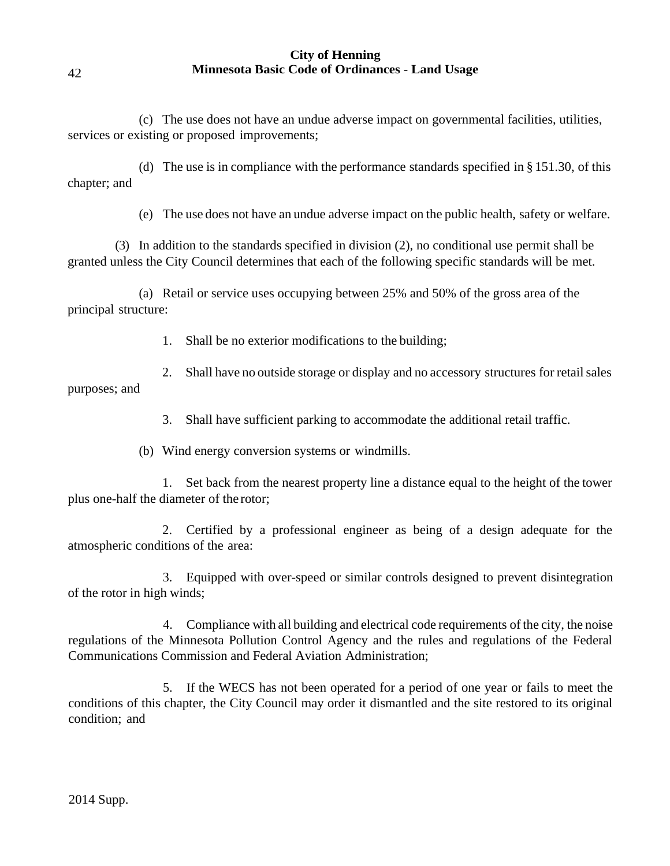(c) The use does not have an undue adverse impact on governmental facilities, utilities, services or existing or proposed improvements;

(d) The use is in compliance with the performance standards specified in § 151.30, of this chapter; and

(e) The use does not have an undue adverse impact on the public health, safety or welfare.

(3) In addition to the standards specified in division (2), no conditional use permit shall be granted unless the City Council determines that each of the following specific standards will be met.

(a) Retail or service uses occupying between 25% and 50% of the gross area of the principal structure:

1. Shall be no exterior modifications to the building;

2. Shall have no outside storage or display and no accessory structures for retail sales purposes; and

3. Shall have sufficient parking to accommodate the additional retail traffic.

(b) Wind energy conversion systems or windmills.

1. Set back from the nearest property line a distance equal to the height of the tower plus one-half the diameter of the rotor;

2. Certified by a professional engineer as being of a design adequate for the atmospheric conditions of the area:

3. Equipped with over-speed or similar controls designed to prevent disintegration of the rotor in high winds;

4. Compliance with all building and electrical code requirements of the city, the noise regulations of the Minnesota Pollution Control Agency and the rules and regulations of the Federal Communications Commission and Federal Aviation Administration;

5. If the WECS has not been operated for a period of one year or fails to meet the conditions of this chapter, the City Council may order it dismantled and the site restored to its original condition; and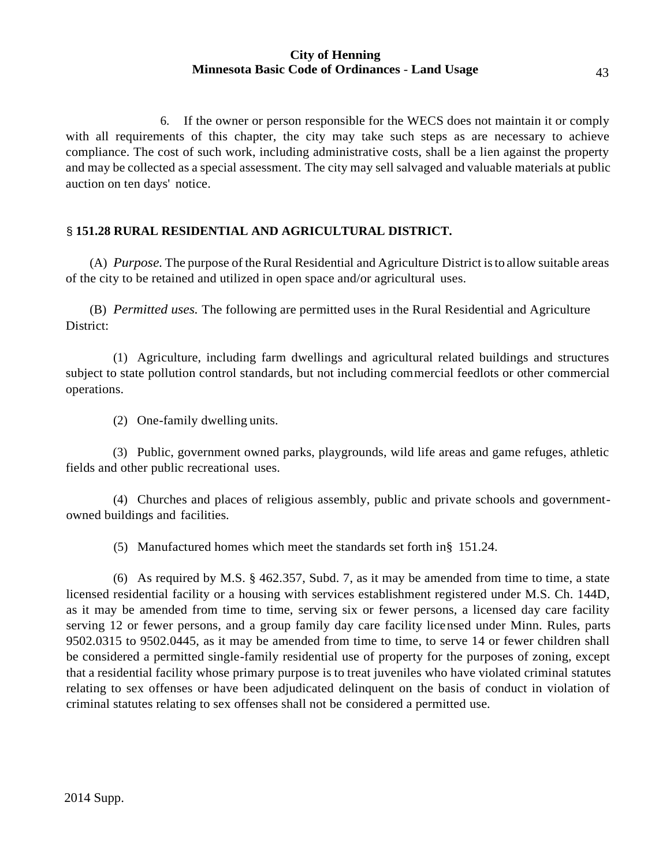6. If the owner or person responsible for the WECS does not maintain it or comply with all requirements of this chapter, the city may take such steps as are necessary to achieve compliance. The cost of such work, including administrative costs, shall be a lien against the property and may be collected as a special assessment. The city may sell salvaged and valuable materials at public auction on ten days' notice.

# § **151.28 RURAL RESIDENTIAL AND AGRICULTURAL DISTRICT.**

(A) *Purpose.* The purpose of theRural Residential and Agriculture District isto allow suitable areas of the city to be retained and utilized in open space and/or agricultural uses.

(B) *Permitted uses.* The following are permitted uses in the Rural Residential and Agriculture District:

(1) Agriculture, including farm dwellings and agricultural related buildings and structures subject to state pollution control standards, but not including commercial feedlots or other commercial operations.

(2) One-family dwelling units.

(3) Public, government owned parks, playgrounds, wild life areas and game refuges, athletic fields and other public recreational uses.

(4) Churches and places of religious assembly, public and private schools and governmentowned buildings and facilities.

(5) Manufactured homes which meet the standards set forth in§ 151.24.

(6) As required by M.S. § 462.357, Subd. 7, as it may be amended from time to time, a state licensed residential facility or a housing with services establishment registered under M.S. Ch. 144D, as it may be amended from time to time, serving six or fewer persons, a licensed day care facility serving 12 or fewer persons, and a group family day care facility licensed under Minn. Rules, parts 9502.0315 to 9502.0445, as it may be amended from time to time, to serve 14 or fewer children shall be considered a permitted single-family residential use of property for the purposes of zoning, except that a residential facility whose primary purpose is to treat juveniles who have violated criminal statutes relating to sex offenses or have been adjudicated delinquent on the basis of conduct in violation of criminal statutes relating to sex offenses shall not be considered a permitted use.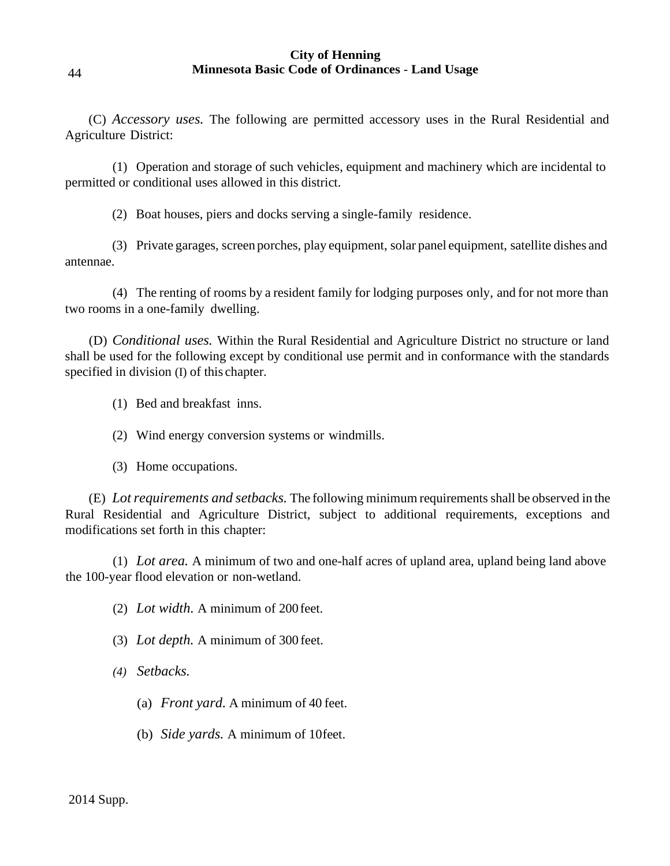(C) *Accessory uses.* The following are permitted accessory uses in the Rural Residential and Agriculture District:

(1) Operation and storage of such vehicles, equipment and machinery which are incidental to permitted or conditional uses allowed in this district.

(2) Boat houses, piers and docks serving a single-family residence.

(3) Private garages, screen porches, play equipment, solar panel equipment, satellite dishes and antennae.

(4) The renting of rooms by a resident family for lodging purposes only, and for not more than two rooms in a one-family dwelling.

(D) *Conditional uses.* Within the Rural Residential and Agriculture District no structure or land shall be used for the following except by conditional use permit and in conformance with the standards specified in division (I) of this chapter.

(1) Bed and breakfast inns.

- (2) Wind energy conversion systems or windmills.
- (3) Home occupations.

(E) *Lotrequirements and setbacks.* The following minimum requirements shall be observed in the Rural Residential and Agriculture District, subject to additional requirements, exceptions and modifications set forth in this chapter:

(1) *Lot area.* A minimum of two and one-half acres of upland area, upland being land above the 100-year flood elevation or non-wetland.

(2) *Lot width.* A minimum of 200feet.

(3) *Lot depth.* A minimum of 300 feet.

*(4) Setbacks.*

- (a) *Front yard.* A minimum of 40 feet.
- (b) *Side yards.* A minimum of 10feet.

44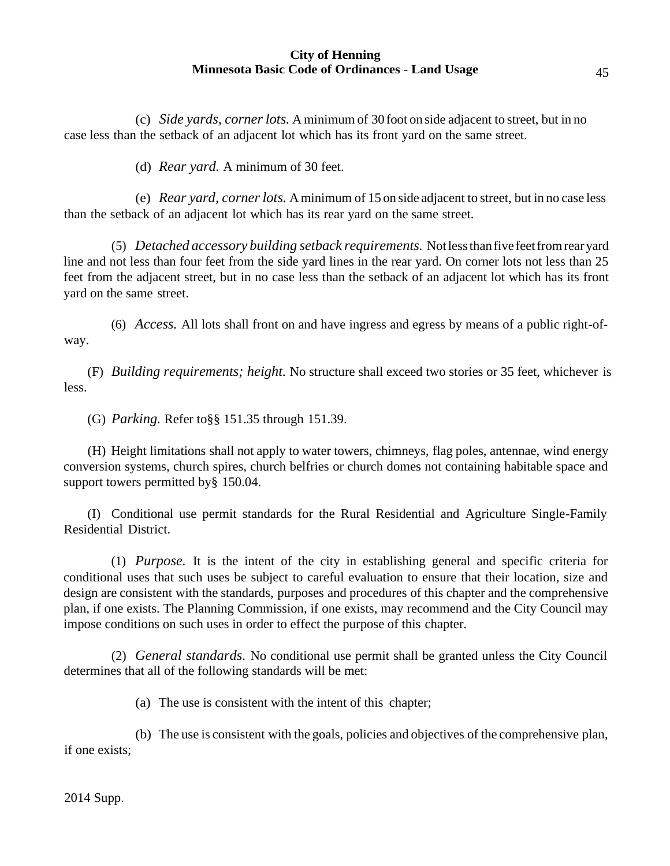(c) *Side yards, corner lots.* Aminimum of 30 foot on side adjacent to street, but in no case less than the setback of an adjacent lot which has its front yard on the same street.

(d) *Rear yard.* A minimum of 30 feet.

(e) *Rear yard, cornerlots.* Aminimum of 15 on side adjacent to street, but in no case less than the setback of an adjacent lot which has its rear yard on the same street.

(5) *Detached accessory building setback requirements.* Notlessthanfive feetfromrearyard line and not less than four feet from the side yard lines in the rear yard. On corner lots not less than 25 feet from the adjacent street, but in no case less than the setback of an adjacent lot which has its front yard on the same street.

(6) *Access.* All lots shall front on and have ingress and egress by means of a public right-ofway.

less. (F) *Building requirements; height.* No structure shall exceed two stories or 35 feet, whichever is

(G) *Parking.* Refer to§§ 151.35 through 151.39.

(H) Height limitations shall not apply to water towers, chimneys, flag poles, antennae, wind energy conversion systems, church spires, church belfries or church domes not containing habitable space and support towers permitted by § 150.04.

(I) Conditional use permit standards for the Rural Residential and Agriculture Single-Family Residential District.

(1) *Purpose.* It is the intent of the city in establishing general and specific criteria for conditional uses that such uses be subject to careful evaluation to ensure that their location, size and design are consistent with the standards, purposes and procedures of this chapter and the comprehensive plan, if one exists. The Planning Commission, if one exists, may recommend and the City Council may impose conditions on such uses in order to effect the purpose of this chapter.

(2) *General standards.* No conditional use permit shall be granted unless the City Council determines that all of the following standards will be met:

(a) The use is consistent with the intent of this chapter;

(b) The use is consistent with the goals, policies and objectives of the comprehensive plan, if one exists;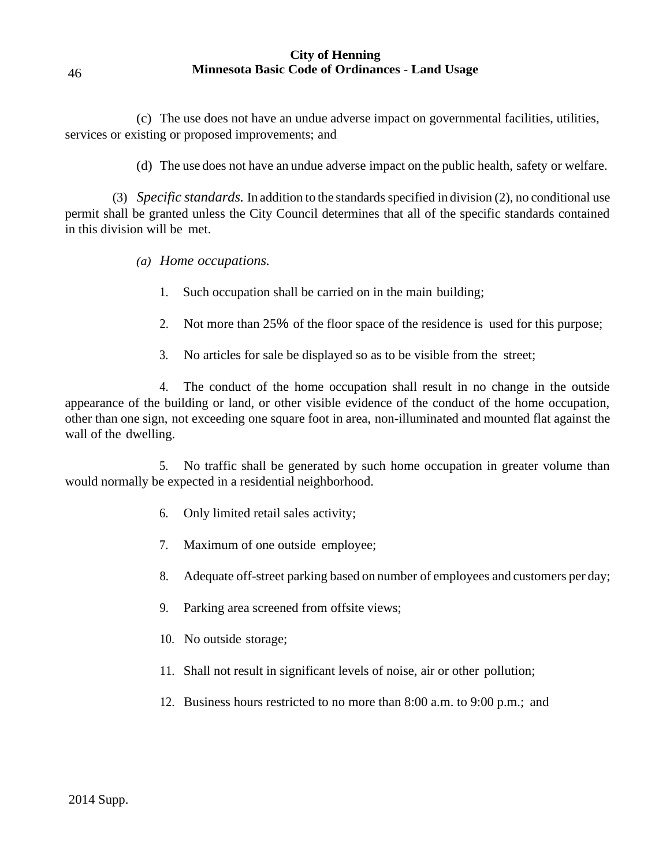(c) The use does not have an undue adverse impact on governmental facilities, utilities, services or existing or proposed improvements; and

(d) The use does not have an undue adverse impact on the public health, safety or welfare.

(3) *Specific standards.* In addition to the standards specified in division (2), no conditional use permit shall be granted unless the City Council determines that all of the specific standards contained in this division will be met.

- *(a) Home occupations.*
	- 1. Such occupation shall be carried on in the main building;
	- 2. Not more than 25% of the floor space of the residence is used for this purpose;
	- 3. No articles for sale be displayed so as to be visible from the street;

4. The conduct of the home occupation shall result in no change in the outside appearance of the building or land, or other visible evidence of the conduct of the home occupation, other than one sign, not exceeding one square foot in area, non-illuminated and mounted flat against the wall of the dwelling.

5. No traffic shall be generated by such home occupation in greater volume than would normally be expected in a residential neighborhood.

- 6. Only limited retail sales activity;
- 7. Maximum of one outside employee;
- 8. Adequate off-street parking based on number of employees and customers per day;
- 9. Parking area screened from offsite views;
- 10. No outside storage;
- 11. Shall not result in significant levels of noise, air or other pollution;
- 12. Business hours restricted to no more than 8:00 a.m. to 9:00 p.m.; and